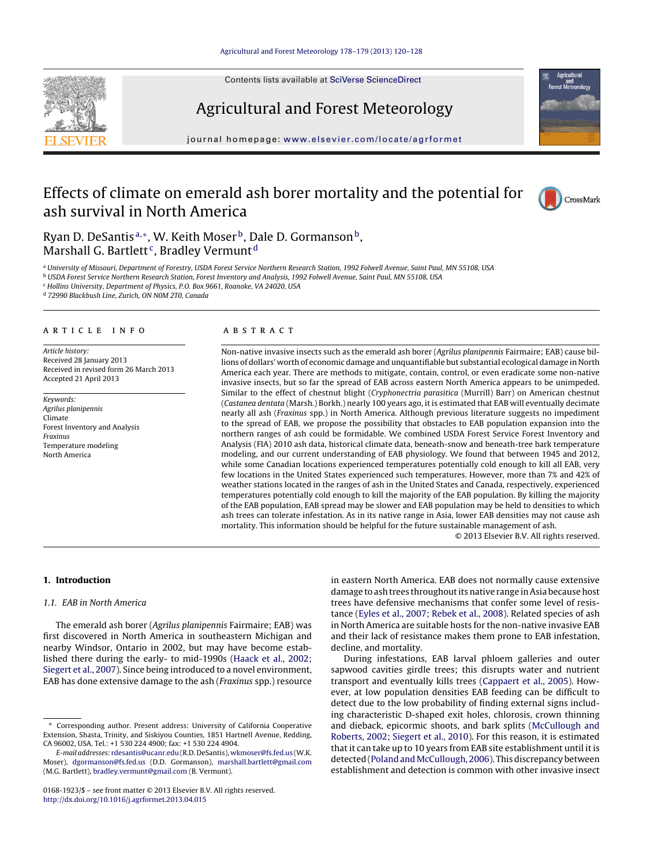

Contents lists available at [SciVerse ScienceDirect](http://www.sciencedirect.com/science/journal/01681923)

# Agricultural and Forest Meteorology

journal homepage: [www.elsevier.com/locate/agrformet](http://www.elsevier.com/locate/agrformet)

## Effects of climate on emerald ash borer mortality and the potential for ash survival in North America



Ryan D. DeSantis<sup>a,\*</sup>, W. Keith Moser<sup>b</sup>, Dale D. Gormanson<sup>b</sup>, Marshall G. Bartlett<sup>c</sup>, Bradley Vermunt<sup>d</sup>

a University of Missouri, Department of Forestry, USDA Forest Service Northern Research Station, 1992 Folwell Avenue, Saint Paul, MN 55108, USA

<sup>b</sup> USDA Forest Service Northern Research Station, Forest Inventory and Analysis, 1992 Folwell Avenue, Saint Paul, MN 55108, USA

<sup>c</sup> Hollins University, Department of Physics, P.O. Box 9661, Roanoke, VA 24020, USA

<sup>d</sup> 72990 Blackbush Line, Zurich, ON N0M 2T0, Canada

#### article info

Article history: Received 28 January 2013 Received in revised form 26 March 2013 Accepted 21 April 2013

Keywords: Agrilus planipennis Climate Forest Inventory and Analysis Fraxinus Temperature modeling North America

## **ABSTRACT**

Non-native invasive insects such as the emerald ash borer (Agrilus planipennis Fairmaire; EAB) cause billions of dollars' worth of economic damage and unquantifiable but substantial ecological damage in North America each year. There are methods to mitigate, contain, control, or even eradicate some non-native invasive insects, but so far the spread of EAB across eastern North America appears to be unimpeded. Similar to the effect of chestnut blight (Cryphonectria parasitica (Murrill) Barr) on American chestnut (Castanea dentata (Marsh.) Borkh.) nearly 100 years ago, it is estimated that EAB will eventually decimate nearly all ash (Fraxinus spp.) in North America. Although previous literature suggests no impediment to the spread of EAB, we propose the possibility that obstacles to EAB population expansion into the northern ranges of ash could be formidable. We combined USDA Forest Service Forest Inventory and Analysis (FIA) 2010 ash data, historical climate data, beneath-snow and beneath-tree bark temperature modeling, and our current understanding of EAB physiology. We found that between 1945 and 2012, while some Canadian locations experienced temperatures potentially cold enough to kill all EAB, very few locations in the United States experienced such temperatures. However, more than 7% and 42% of weather stations located in the ranges of ash in the United States and Canada, respectively, experienced temperatures potentially cold enough to kill the majority of the EAB population. By killing the majority of the EAB population, EAB spread may be slower and EAB population may be held to densities to which ash trees can tolerate infestation. As in its native range in Asia, lower EAB densities may not cause ash mortality. This information should be helpful for the future sustainable management of ash.

© 2013 Elsevier B.V. All rights reserved.

## **1. Introduction**

## 1.1. EAB in North America

The emerald ash borer (Agrilus planipennis Fairmaire; EAB) was first discovered in North America in southeastern Michigan and nearby Windsor, Ontario in 2002, but may have become established there during the early- to mid-1990s [\(Haack et al., 2002;](#page-7-0) [Siegert et al., 2007\).](#page-7-0) Since being introduced to a novel environment, EAB has done extensive damage to the ash (Fraxinus spp.) resource

in eastern North America. EAB does not normally cause extensive damage to ash trees throughout its native range in Asia because host trees have defensive mechanisms that confer some level of resistance [\(Eyles et al., 2007; Rebek et al., 2008\).](#page-7-0) Related species of ash in North America are suitable hosts for the non-native invasive EAB and their lack of resistance makes them prone to EAB infestation, decline, and mortality.

During infestations, EAB larval phloem galleries and outer sapwood cavities girdle trees; this disrupts water and nutrient transport and eventually kills trees [\(Cappaert et al., 2005\).](#page-7-0) However, at low population densities EAB feeding can be difficult to detect due to the low probability of finding external signs including characteristic D-shaped exit holes, chlorosis, crown thinning and dieback, epicormic shoots, and bark splits ([McCullough and](#page-7-0) [Roberts, 2002; Siegert et al., 2010\).](#page-7-0) For this reason, it is estimated that it can take up to 10 years from EAB site establishment until it is detected (Poland and McCullough, 2006). This discrepancy between establishment and detection is common with other invasive insect

<sup>∗</sup> Corresponding author. Present address: University of California Cooperative Extension, Shasta, Trinity, and Siskiyou Counties, 1851 Hartnell Avenue, Redding, CA 96002, USA. Tel.: +1 530 224 4900; fax: +1 530 224 4904.

E-mail addresses: [rdesantis@ucanr.edu](mailto:rdesantis@ucanr.edu) (R.D. DeSantis), [wkmoser@fs.fed.us](mailto:wkmoser@fs.fed.us) (W.K. Moser), [dgormanson@fs.fed.us](mailto:dgormanson@fs.fed.us) (D.D. Gormanson), [marshall.bartlett@gmail.com](mailto:marshall.bartlett@gmail.com) (M.G. Bartlett), [bradley.vermunt@gmail.com](mailto:bradley.vermunt@gmail.com) (B. Vermunt).

<sup>0168-1923/\$ –</sup> see front matter © 2013 Elsevier B.V. All rights reserved. [http://dx.doi.org/10.1016/j.agrformet.2013.04.015](dx.doi.org/10.1016/j.agrformet.2013.04.015)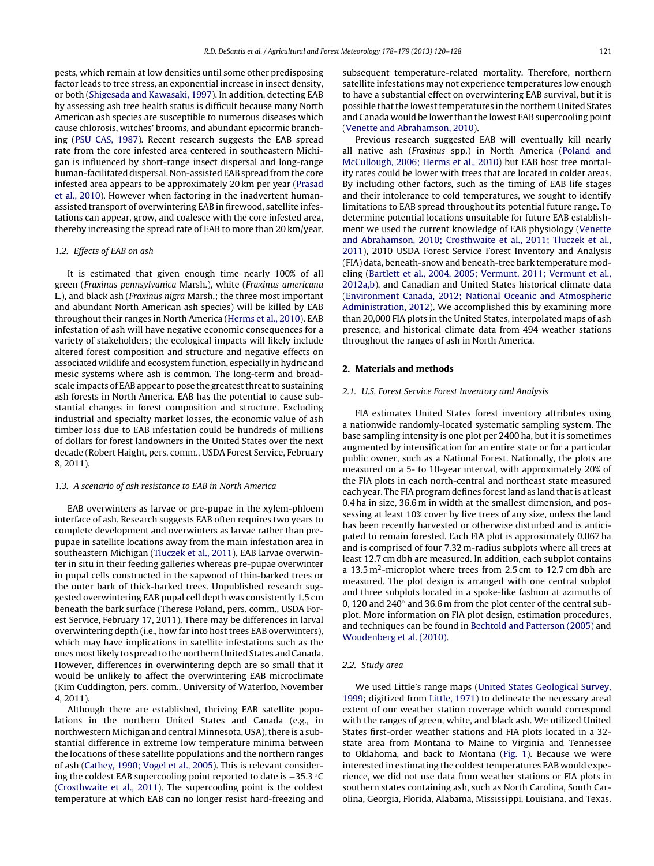pests, which remain at low densities until some other predisposing factor leads to tree stress, an exponential increase in insect density, or both [\(Shigesada and Kawasaki, 1997\).](#page-7-0) In addition, detecting EAB by assessing ash tree health status is difficult because many North American ash species are susceptible to numerous diseases which cause chlorosis, witches' brooms, and abundant epicormic branching ([PSU CAS, 1987\).](#page-7-0) Recent research suggests the EAB spread rate from the core infested area centered in southeastern Michigan is influenced by short-range insect dispersal and long-range human-facilitated dispersal. Non-assisted EAB spread from the core infested area appears to be approximately 20 km per year ([Prasad](#page-7-0) [et al., 2010\).](#page-7-0) However when factoring in the inadvertent humanassisted transport of overwintering EAB in firewood, satellite infestations can appear, grow, and coalesce with the core infested area, thereby increasing the spread rate of EAB to more than 20 km/year.

### 1.2. Effects of EAB on ash

It is estimated that given enough time nearly 100% of all green (Fraxinus pennsylvanica Marsh.), white (Fraxinus americana L.), and black ash (Fraxinus nigra Marsh.; the three most important and abundant North American ash species) will be killed by EAB throughout their ranges in North America ([Herms et al., 2010\).](#page-7-0) EAB infestation of ash will have negative economic consequences for a variety of stakeholders; the ecological impacts will likely include altered forest composition and structure and negative effects on associated wildlife and ecosystem function, especially in hydric and mesic systems where ash is common. The long-term and broadscale impacts of EAB appear to pose the greatest threat to sustaining ash forests in North America. EAB has the potential to cause substantial changes in forest composition and structure. Excluding industrial and specialty market losses, the economic value of ash timber loss due to EAB infestation could be hundreds of millions of dollars for forest landowners in the United States over the next decade (Robert Haight, pers. comm., USDA Forest Service, February 8, 2011).

#### 1.3. A scenario of ash resistance to EAB in North America

EAB overwinters as larvae or pre-pupae in the xylem-phloem interface of ash. Research suggests EAB often requires two years to complete development and overwinters as larvae rather than prepupae in satellite locations away from the main infestation area in southeastern Michigan ([Tluczek et al., 2011\).](#page-7-0) EAB larvae overwinter in situ in their feeding galleries whereas pre-pupae overwinter in pupal cells constructed in the sapwood of thin-barked trees or the outer bark of thick-barked trees. Unpublished research suggested overwintering EAB pupal cell depth was consistently 1.5 cm beneath the bark surface (Therese Poland, pers. comm., USDA Forest Service, February 17, 2011). There may be differences in larval overwintering depth (i.e., how far into host trees EAB overwinters), which may have implications in satellite infestations such as the onesmost likely to spread to the northern United States and Canada. However, differences in overwintering depth are so small that it would be unlikely to affect the overwintering EAB microclimate (Kim Cuddington, pers. comm., University of Waterloo, November 4, 2011).

Although there are established, thriving EAB satellite populations in the northern United States and Canada (e.g., in northwestern Michigan and central Minnesota, USA), there is a substantial difference in extreme low temperature minima between the locations of these satellite populations and the northern ranges of ash ([Cathey, 1990; Vogel et al., 2005\).](#page-7-0) This is relevant considering the coldest EAB supercooling point reported to date is −35.3 ◦C ([Crosthwaite et al., 2011\).](#page-7-0) The supercooling point is the coldest temperature at which EAB can no longer resist hard-freezing and subsequent temperature-related mortality. Therefore, northern satellite infestations may not experience temperatures low enough to have a substantial effect on overwintering EAB survival, but it is possible that the lowest temperatures in the northern United States and Canada would be lower than the lowest EAB supercooling point [\(Venette and Abrahamson, 2010\).](#page-7-0)

Previous research suggested EAB will eventually kill nearly all native ash (Fraxinus spp.) in North America [\(Poland and](#page-7-0) [McCullough, 2006; Herms et al., 2010\)](#page-7-0) but EAB host tree mortality rates could be lower with trees that are located in colder areas. By including other factors, such as the timing of EAB life stages and their intolerance to cold temperatures, we sought to identify limitations to EAB spread throughout its potential future range. To determine potential locations unsuitable for future EAB establishment we used the current knowledge of EAB physiology ([Venette](#page-7-0) [and Abrahamson, 2010; Crosthwaite et al., 2011; Tluczek et al.,](#page-7-0) [2011\),](#page-7-0) 2010 USDA Forest Service Forest Inventory and Analysis (FIA) data, beneath-snow and beneath-tree bark temperature modeling [\(Bartlett et al., 2004, 2005; Vermunt, 2011; Vermunt et al.,](#page-7-0) [2012a,b\),](#page-7-0) and Canadian and United States historical climate data [\(Environment Canada, 2012; National Oceanic and Atmospheric](#page-7-0) [Administration, 2012\).](#page-7-0) We accomplished this by examining more than 20,000 FIA plots in the United States, interpolated maps of ash presence, and historical climate data from 494 weather stations throughout the ranges of ash in North America.

## **2. Materials and methods**

#### 2.1. U.S. Forest Service Forest Inventory and Analysis

FIA estimates United States forest inventory attributes using a nationwide randomly-located systematic sampling system. The base sampling intensity is one plot per 2400 ha, but it is sometimes augmented by intensification for an entire state or for a particular public owner, such as a National Forest. Nationally, the plots are measured on a 5- to 10-year interval, with approximately 20% of the FIA plots in each north-central and northeast state measured each year. The FIA program defines forest land as land that is at least 0.4 ha in size, 36.6 m in width at the smallest dimension, and possessing at least 10% cover by live trees of any size, unless the land has been recently harvested or otherwise disturbed and is anticipated to remain forested. Each FIA plot is approximately 0.067 ha and is comprised of four 7.32 m-radius subplots where all trees at least 12.7 cm dbh are measured. In addition, each subplot contains a 13.5 m<sup>2</sup>-microplot where trees from 2.5 cm to 12.7 cm dbh are measured. The plot design is arranged with one central subplot and three subplots located in a spoke-like fashion at azimuths of 0, 120 and 240◦ and 36.6 m from the plot center of the central subplot. More information on FIA plot design, estimation procedures, and techniques can be found in [Bechtold and Patterson \(2005\)](#page-7-0) and [Woudenberg et al. \(2010\).](#page-8-0)

#### 2.2. Study area

We used Little's range maps [\(United States Geological Survey,](#page-7-0) [1999;](#page-7-0) digitized from [Little, 1971\)](#page-7-0) to delineate the necessary areal extent of our weather station coverage which would correspond with the ranges of green, white, and black ash. We utilized United States first-order weather stations and FIA plots located in a 32 state area from Montana to Maine to Virginia and Tennessee to Oklahoma, and back to Montana ([Fig. 1\).](#page-2-0) Because we were interested in estimating the coldest temperatures EAB would experience, we did not use data from weather stations or FIA plots in southern states containing ash, such as North Carolina, South Carolina, Georgia, Florida, Alabama, Mississippi, Louisiana, and Texas.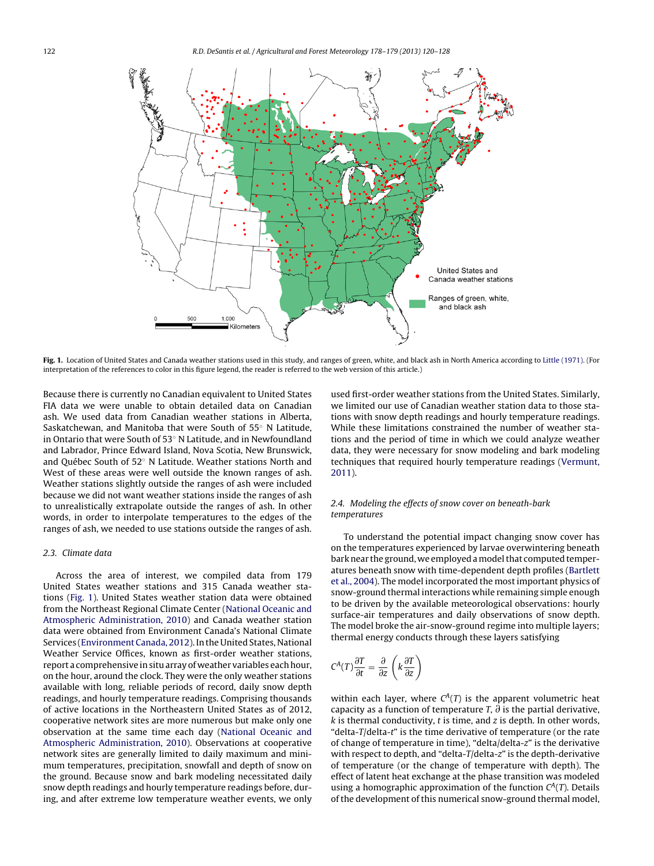<span id="page-2-0"></span>

**Fig. 1.** Location of United States and Canada weather stations used in this study, and ranges of green, white, and black ash in North America according to [Little \(1971\). \(](#page-7-0)For interpretation of the references to color in this figure legend, the reader is referred to the web version of this article.)

Because there is currently no Canadian equivalent to United States FIA data we were unable to obtain detailed data on Canadian ash. We used data from Canadian weather stations in Alberta, Saskatchewan, and Manitoba that were South of 55◦ N Latitude, in Ontario that were South of 53◦ N Latitude, and in Newfoundland and Labrador, Prince Edward Island, Nova Scotia, New Brunswick, and Québec South of 52◦ N Latitude. Weather stations North and West of these areas were well outside the known ranges of ash. Weather stations slightly outside the ranges of ash were included because we did not want weather stations inside the ranges of ash to unrealistically extrapolate outside the ranges of ash. In other words, in order to interpolate temperatures to the edges of the ranges of ash, we needed to use stations outside the ranges of ash.

#### 2.3. Climate data

Across the area of interest, we compiled data from 179 United States weather stations and 315 Canada weather stations (Fig. 1). United States weather station data were obtained from the Northeast Regional Climate Center ([National Oceanic and](#page-7-0) [Atmospheric Administration, 2010\)](#page-7-0) and Canada weather station data were obtained from Environment Canada's National Climate Services [\(Environment Canada, 2012\).](#page-7-0) In the United States, National Weather Service Offices, known as first-order weather stations, report a comprehensive in situ array of weather variables each hour, on the hour, around the clock. They were the only weather stations available with long, reliable periods of record, daily snow depth readings, and hourly temperature readings. Comprising thousands of active locations in the Northeastern United States as of 2012, cooperative network sites are more numerous but make only one observation at the same time each day [\(National Oceanic and](#page-7-0) [Atmospheric Administration, 2010\).](#page-7-0) Observations at cooperative network sites are generally limited to daily maximum and minimum temperatures, precipitation, snowfall and depth of snow on the ground. Because snow and bark modeling necessitated daily snow depth readings and hourly temperature readings before, during, and after extreme low temperature weather events, we only

used first-order weather stations from the United States. Similarly, we limited our use of Canadian weather station data to those stations with snow depth readings and hourly temperature readings. While these limitations constrained the number of weather stations and the period of time in which we could analyze weather data, they were necessary for snow modeling and bark modeling techniques that required hourly temperature readings ([Vermunt,](#page-7-0) [2011\).](#page-7-0)

## 2.4. Modeling the effects of snow cover on beneath-bark temperatures

To understand the potential impact changing snow cover has on the temperatures experienced by larvae overwintering beneath bark near the ground, we employed amodel that computed temperatures beneath snow with time-dependent depth profiles [\(Bartlett](#page-7-0) [et al., 2004\).](#page-7-0) The model incorporated the most important physics of snow-ground thermal interactions while remaining simple enough to be driven by the available meteorological observations: hourly surface-air temperatures and daily observations of snow depth. The model broke the air-snow-ground regime into multiple layers; thermal energy conducts through these layers satisfying

$$
C^{A}(T)\frac{\partial T}{\partial t} = \frac{\partial}{\partial z}\left(k\frac{\partial T}{\partial z}\right)
$$

within each layer, where  $C^{A}(T)$  is the apparent volumetric heat capacity as a function of temperature T,  $\partial$  is the partial derivative,  $k$  is thermal conductivity,  $t$  is time, and  $z$  is depth. In other words, "delta-T/delta-t" is the time derivative of temperature (or the rate of change of temperature in time), "delta/delta-z" is the derivative with respect to depth, and "delta-T/delta-z" is the depth-derivative of temperature (or the change of temperature with depth). The effect of latent heat exchange at the phase transition was modeled using a homographic approximation of the function  $C^A(T)$ . Details of the development of this numerical snow-ground thermal model,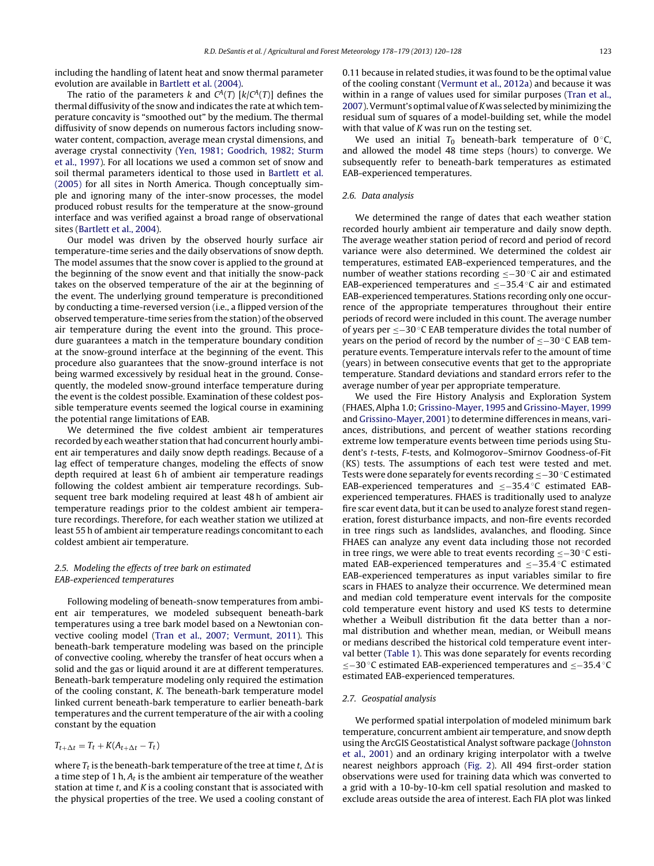including the handling of latent heat and snow thermal parameter evolution are available in [Bartlett et al. \(2004\).](#page-7-0)

The ratio of the parameters k and  $C^{A}(T)$  [k/ $C^{A}(T)$ ] defines the thermal diffusivity of the snow and indicates the rate at which temperature concavity is "smoothed out" by the medium. The thermal diffusivity of snow depends on numerous factors including snowwater content, compaction, average mean crystal dimensions, and average crystal connectivity ([Yen, 1981; Goodrich, 1982; Sturm](#page-8-0) [et al., 1997\).](#page-8-0) For all locations we used a common set of snow and soil thermal parameters identical to those used in [Bartlett et al.](#page-7-0) [\(2005\)](#page-7-0) for all sites in North America. Though conceptually simple and ignoring many of the inter-snow processes, the model produced robust results for the temperature at the snow-ground interface and was verified against a broad range of observational sites [\(Bartlett et al., 2004\).](#page-7-0)

Our model was driven by the observed hourly surface air temperature-time series and the daily observations of snow depth. The model assumes that the snow cover is applied to the ground at the beginning of the snow event and that initially the snow-pack takes on the observed temperature of the air at the beginning of the event. The underlying ground temperature is preconditioned by conducting a time-reversed version (i.e., a flipped version of the observed temperature-time series from the station) of the observed air temperature during the event into the ground. This procedure guarantees a match in the temperature boundary condition at the snow-ground interface at the beginning of the event. This procedure also guarantees that the snow-ground interface is not being warmed excessively by residual heat in the ground. Consequently, the modeled snow-ground interface temperature during the event is the coldest possible. Examination of these coldest possible temperature events seemed the logical course in examining the potential range limitations of EAB.

We determined the five coldest ambient air temperatures recorded by each weather station that had concurrent hourly ambient air temperatures and daily snow depth readings. Because of a lag effect of temperature changes, modeling the effects of snow depth required at least 6 h of ambient air temperature readings following the coldest ambient air temperature recordings. Subsequent tree bark modeling required at least 48 h of ambient air temperature readings prior to the coldest ambient air temperature recordings. Therefore, for each weather station we utilized at least 55 h of ambient air temperature readings concomitant to each coldest ambient air temperature.

## 2.5. Modeling the effects of tree bark on estimated EAB-experienced temperatures

Following modeling of beneath-snow temperatures from ambient air temperatures, we modeled subsequent beneath-bark temperatures using a tree bark model based on a Newtonian convective cooling model ([Tran et al., 2007; Vermunt, 2011\).](#page-7-0) This beneath-bark temperature modeling was based on the principle of convective cooling, whereby the transfer of heat occurs when a solid and the gas or liquid around it are at different temperatures. Beneath-bark temperature modeling only required the estimation of the cooling constant, K. The beneath-bark temperature model linked current beneath-bark temperature to earlier beneath-bark temperatures and the current temperature of the air with a cooling constant by the equation

$$
T_{t+\Delta t} = T_t + K(A_{t+\Delta t} - T_t)
$$

where  $T_t$  is the beneath-bark temperature of the tree at time t,  $\Delta t$  is a time step of 1 h,  $A_t$  is the ambient air temperature of the weather station at time  $t$ , and  $K$  is a cooling constant that is associated with the physical properties of the tree. We used a cooling constant of 0.11 because in related studies, it was found to be the optimal value of the cooling constant ([Vermunt et al., 2012a\) a](#page-8-0)nd because it was within in a range of values used for similar purposes ([Tran et al.,](#page-7-0) [2007\).](#page-7-0) Vermunt's optimal value of K was selected by minimizing the residual sum of squares of a model-building set, while the model with that value of  $K$  was run on the testing set.

We used an initial  $T_0$  beneath-bark temperature of 0 °C, and allowed the model 48 time steps (hours) to converge. We subsequently refer to beneath-bark temperatures as estimated EAB-experienced temperatures.

## 2.6. Data analysis

We determined the range of dates that each weather station recorded hourly ambient air temperature and daily snow depth. The average weather station period of record and period of record variance were also determined. We determined the coldest air temperatures, estimated EAB-experienced temperatures, and the number of weather stations recording ≤−30 ◦C air and estimated EAB-experienced temperatures and ≤−35.4 ◦C air and estimated EAB-experienced temperatures. Stations recording only one occurrence of the appropriate temperatures throughout their entire periods of record were included in this count. The average number of years per ≤−30 ◦C EAB temperature divides the total number of years on the period of record by the number of ≤−30 ◦C EAB temperature events. Temperature intervals refer to the amount of time (years) in between consecutive events that get to the appropriate temperature. Standard deviations and standard errors refer to the average number of year per appropriate temperature.

We used the Fire History Analysis and Exploration System (FHAES, Alpha 1.0; [Grissino-Mayer, 1995](#page-7-0) and [Grissino-Mayer, 1999](#page-7-0) and [Grissino-Mayer, 2001\) t](#page-7-0)o determine differences in means, variances, distributions, and percent of weather stations recording extreme low temperature events between time periods using Student's t-tests, F-tests, and Kolmogorov–Smirnov Goodness-of-Fit (KS) tests. The assumptions of each test were tested and met. Tests were done separately for events recording ≤−30 ◦C estimated EAB-experienced temperatures and ≤−35.4 ◦C estimated EABexperienced temperatures. FHAES is traditionally used to analyze fire scar event data, but it can be used to analyze forest stand regeneration, forest disturbance impacts, and non-fire events recorded in tree rings such as landslides, avalanches, and flooding. Since FHAES can analyze any event data including those not recorded in tree rings, we were able to treat events recording ≤−30 ◦C estimated EAB-experienced temperatures and ≤−35.4 ◦C estimated EAB-experienced temperatures as input variables similar to fire scars in FHAES to analyze their occurrence. We determined mean and median cold temperature event intervals for the composite cold temperature event history and used KS tests to determine whether a Weibull distribution fit the data better than a normal distribution and whether mean, median, or Weibull means or medians described the historical cold temperature event interval better ([Table 1\).](#page-4-0) This was done separately for events recording ≤−30 ◦C estimated EAB-experienced temperatures and ≤−35.4 ◦C estimated EAB-experienced temperatures.

#### 2.7. Geospatial analysis

We performed spatial interpolation of modeled minimum bark temperature, concurrent ambient air temperature, and snow depth using the ArcGIS Geostatistical Analyst software package ([Johnston](#page-7-0) [et al., 2001\)](#page-7-0) and an ordinary kriging interpolator with a twelve nearest neighbors approach [\(Fig. 2\)](#page-4-0). All 494 first-order station observations were used for training data which was converted to a grid with a 10-by-10-km cell spatial resolution and masked to exclude areas outside the area of interest. Each FIA plot was linked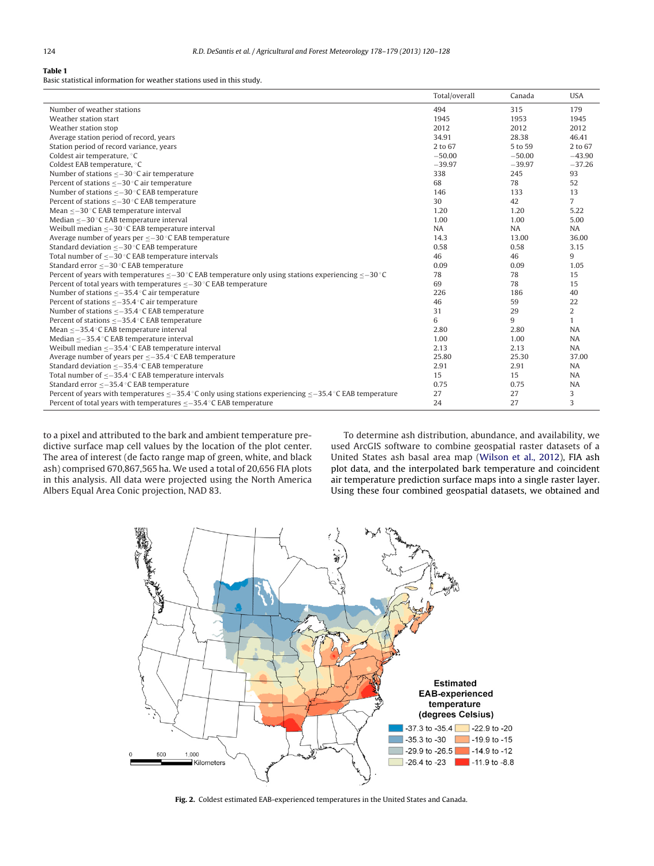#### <span id="page-4-0"></span>**Table 1**

Basic statistical information for weather stations used in this study.

|                                                                                                                   | Total/overall | Canada   | <b>USA</b>     |
|-------------------------------------------------------------------------------------------------------------------|---------------|----------|----------------|
| Number of weather stations                                                                                        | 494           | 315      | 179            |
| Weather station start                                                                                             | 1945          | 1953     | 1945           |
| Weather station stop                                                                                              | 2012          | 2012     | 2012           |
| Average station period of record, years                                                                           | 34.91         | 28.38    | 46.41          |
| Station period of record variance, years                                                                          | 2 to 67       | 5 to 59  | 2 to 67        |
| Coldest air temperature, °C                                                                                       | $-50.00$      | $-50.00$ | $-43.90$       |
| Coldest EAB temperature, °C                                                                                       | $-39.97$      | $-39.97$ | $-37.26$       |
| Number of stations $\leq -30$ °C air temperature                                                                  | 338           | 245      | 93             |
| Percent of stations $\leq -30$ °C air temperature                                                                 | 68            | 78       | 52             |
| Number of stations < - 30 °C EAB temperature                                                                      | 146           | 133      | 13             |
| Percent of stations < - 30 °C EAB temperature                                                                     | 30            | 42       | $\overline{7}$ |
| Mean <-30 °C EAB temperature interval                                                                             | 1.20          | 1.20     | 5.22           |
| Median $\leq -30$ °C EAB temperature interval                                                                     | 1.00          | 1.00     | 5.00           |
| Weibull median $\leq -30$ °C EAB temperature interval                                                             | <b>NA</b>     | NA       | <b>NA</b>      |
| Average number of years per $\leq -30$ °C EAB temperature                                                         | 14.3          | 13.00    | 36.00          |
| Standard deviation $\leq -30$ °C EAB temperature                                                                  | 0.58          | 0.58     | 3.15           |
| Total number of $\leq -30$ °C EAB temperature intervals                                                           | 46            | 46       | 9              |
| Standard error < - 30 °C EAB temperature                                                                          | 0.09          | 0.09     | 1.05           |
| Percent of years with temperatures $\leq -30$ °C EAB temperature only using stations experiencing $\leq -30$ °C   | 78            | 78       | 15             |
| Percent of total years with temperatures $\leq -30$ °C EAB temperature                                            | 69            | 78       | 15             |
| Number of stations $\leq -35.4$ °C air temperature                                                                | 226           | 186      | 40             |
| Percent of stations $\leq -35.4$ °C air temperature                                                               | 46            | 59       | 22             |
| Number of stations < - 35.4 °C EAB temperature                                                                    | 31            | 29       | $\overline{2}$ |
| Percent of stations < - 35.4 °C EAB temperature                                                                   | 6             | 9        | $\mathbf{1}$   |
| Mean <- 35.4 °C EAB temperature interval                                                                          | 2.80          | 2.80     | NA             |
| Median <- 35.4 °C EAB temperature interval                                                                        | 1.00          | 1.00     | NA             |
| Weibull median $\leq -35.4$ °C EAB temperature interval                                                           | 2.13          | 2.13     | <b>NA</b>      |
| Average number of years per $\leq -35.4$ °C EAB temperature                                                       | 25.80         | 25.30    | 37.00          |
| Standard deviation $\leq -35.4$ °C EAB temperature                                                                | 2.91          | 2.91     | <b>NA</b>      |
| Total number of $\leq -35.4$ °C EAB temperature intervals                                                         | 15            | 15       | <b>NA</b>      |
| Standard error < - 35.4 °C EAB temperature                                                                        | 0.75          | 0.75     | <b>NA</b>      |
| Percent of years with temperatures $\lt$ –35.4 °C only using stations experiencing $\lt$ –35.4 °C EAB temperature | 27            | 27       | 3              |
| Percent of total years with temperatures $\leq -35.4$ °C EAB temperature                                          | 24            | 27       | 3              |

to a pixel and attributed to the bark and ambient temperature predictive surface map cell values by the location of the plot center. The area of interest (de facto range map of green, white, and black ash) comprised 670,867,565 ha. We used a total of 20,656 FIA plots in this analysis. All data were projected using the North America Albers Equal Area Conic projection, NAD 83.

To determine ash distribution, abundance, and availability, we used ArcGIS software to combine geospatial raster datasets of a United States ash basal area map ([Wilson et al., 2012\),](#page-8-0) FIA ash plot data, and the interpolated bark temperature and coincident air temperature prediction surface maps into a single raster layer. Using these four combined geospatial datasets, we obtained and



**Fig. 2.** Coldest estimated EAB-experienced temperatures in the United States and Canada.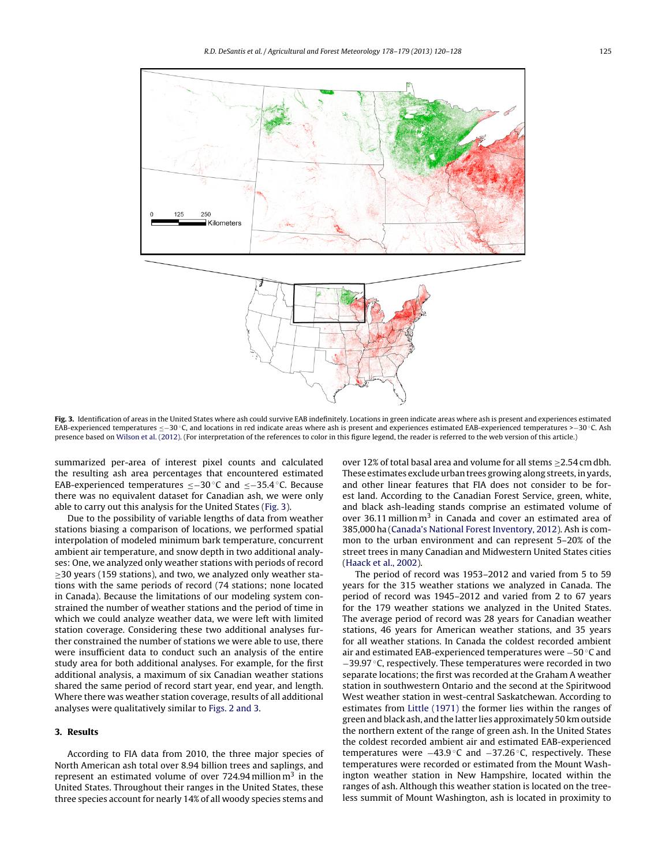<span id="page-5-0"></span>

Fig. 3. Identification of areas in the United States where ash could survive EAB indefinitely. Locations in green indicate areas where ash is present and experiences estimated EAB-experienced temperatures ≤-30 °C, and locations in red indicate areas where ash is present and experiences estimated EAB-experienced temperatures >-30 °C. Ash presence based on [Wilson et al. \(2012\). \(](#page-8-0)For interpretation of the references to color in this figure legend, the reader is referred to the web version of this article.)

summarized per-area of interest pixel counts and calculated the resulting ash area percentages that encountered estimated EAB-experienced temperatures ≤−30 ◦C and ≤−35.4 ◦C. Because there was no equivalent dataset for Canadian ash, we were only able to carry out this analysis for the United States (Fig. 3).

Due to the possibility of variable lengths of data from weather stations biasing a comparison of locations, we performed spatial interpolation of modeled minimum bark temperature, concurrent ambient air temperature, and snow depth in two additional analyses: One, we analyzed only weather stations with periods of record  $\geq$ 30 years (159 stations), and two, we analyzed only weather stations with the same periods of record (74 stations; none located in Canada). Because the limitations of our modeling system constrained the number of weather stations and the period of time in which we could analyze weather data, we were left with limited station coverage. Considering these two additional analyses further constrained the number of stations we were able to use, there were insufficient data to conduct such an analysis of the entire study area for both additional analyses. For example, for the first additional analysis, a maximum of six Canadian weather stations shared the same period of record start year, end year, and length. Where there was weather station coverage, results of all additional analyses were qualitatively similar to [Figs. 2 and 3.](#page-4-0)

## **3. Results**

According to FIA data from 2010, the three major species of North American ash total over 8.94 billion trees and saplings, and represent an estimated volume of over  $724.94$  million  $m<sup>3</sup>$  in the United States. Throughout their ranges in the United States, these three species account for nearly 14% of all woody species stems and

over 12% of total basal area and volume for all stems  $\geq$  2.54 cm dbh. These estimates exclude urban trees growing along streets, in yards, and other linear features that FIA does not consider to be forest land. According to the Canadian Forest Service, green, white, and black ash-leading stands comprise an estimated volume of over 36.11 million  $m^3$  in Canada and cover an estimated area of 385,000 ha ([Canada's National Forest Inventory, 2012\).](#page-7-0) Ash is common to the urban environment and can represent 5–20% of the street trees in many Canadian and Midwestern United States cities [\(Haack et al., 2002\).](#page-7-0)

The period of record was 1953–2012 and varied from 5 to 59 years for the 315 weather stations we analyzed in Canada. The period of record was 1945–2012 and varied from 2 to 67 years for the 179 weather stations we analyzed in the United States. The average period of record was 28 years for Canadian weather stations, 46 years for American weather stations, and 35 years for all weather stations. In Canada the coldest recorded ambient air and estimated EAB-experienced temperatures were −50 ◦C and −39.97 ◦C, respectively. These temperatures were recorded in two separate locations; the first was recorded at the Graham A weather station in southwestern Ontario and the second at the Spiritwood West weather station in west-central Saskatchewan. According to estimates from [Little \(1971\)](#page-7-0) the former lies within the ranges of green and black ash, and the latter lies approximately 50 km outside the northern extent of the range of green ash. In the United States the coldest recorded ambient air and estimated EAB-experienced temperatures were −43.9 ◦C and −37.26 ◦C, respectively. These temperatures were recorded or estimated from the Mount Washington weather station in New Hampshire, located within the ranges of ash. Although this weather station is located on the treeless summit of Mount Washington, ash is located in proximity to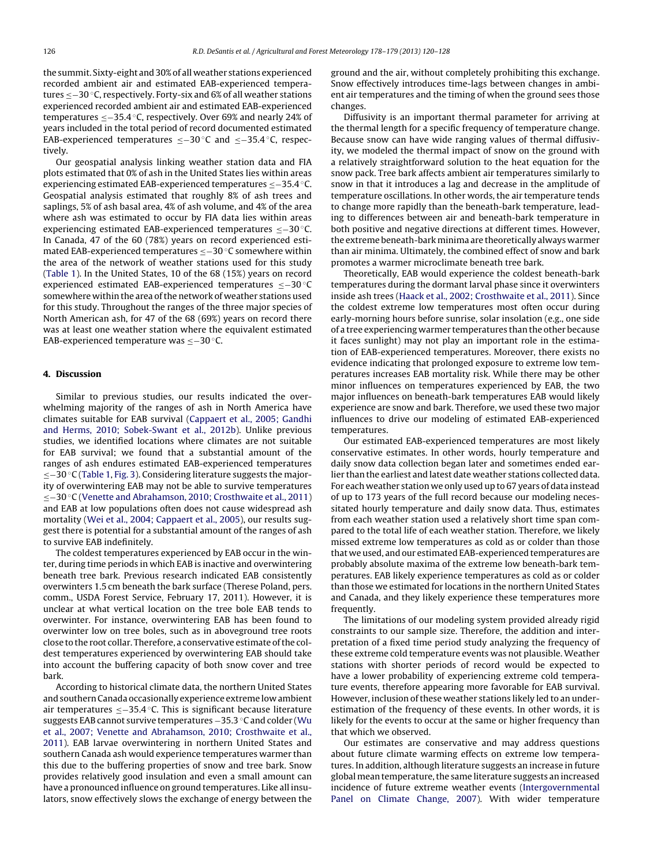the summit. Sixty-eight and 30% of all weather stations experienced recorded ambient air and estimated EAB-experienced temperatures ≤−30 ◦C, respectively. Forty-six and 6% of all weather stations experienced recorded ambient air and estimated EAB-experienced temperatures ≤−35.4 ◦C, respectively. Over 69% and nearly 24% of years included in the total period of record documented estimated EAB-experienced temperatures ≤−30 ◦C and ≤−35.4 ◦C, respectively.

Our geospatial analysis linking weather station data and FIA plots estimated that 0% of ash in the United States lies within areas experiencing estimated EAB-experienced temperatures ≤−35.4 ◦C. Geospatial analysis estimated that roughly 8% of ash trees and saplings, 5% of ash basal area, 4% of ash volume, and 4% of the area where ash was estimated to occur by FIA data lies within areas experiencing estimated EAB-experienced temperatures ≤−30 ◦C. In Canada, 47 of the 60 (78%) years on record experienced estimated EAB-experienced temperatures ≤−30 ◦C somewhere within the area of the network of weather stations used for this study ([Table 1\).](#page-4-0) In the United States, 10 of the 68 (15%) years on record experienced estimated EAB-experienced temperatures ≤−30 ◦C somewhere within the area of the network of weather stations used for this study. Throughout the ranges of the three major species of North American ash, for 47 of the 68 (69%) years on record there was at least one weather station where the equivalent estimated EAB-experienced temperature was ≤−30 ◦C.

## **4. Discussion**

Similar to previous studies, our results indicated the overwhelming majority of the ranges of ash in North America have climates suitable for EAB survival [\(Cappaert et al., 2005; Gandhi](#page-7-0) [and Herms, 2010; Sobek-Swant et al., 2012b\).](#page-7-0) Unlike previous studies, we identified locations where climates are not suitable for EAB survival; we found that a substantial amount of the ranges of ash endures estimated EAB-experienced temperatures ≤−30 ◦C [\(Table 1,](#page-4-0) [Fig. 3\).](#page-5-0) Considering literature suggests the majority of overwintering EAB may not be able to survive temperatures ≤−30 ◦C [\(Venette and Abrahamson, 2010; Crosthwaite et al., 2011\)](#page-7-0) and EAB at low populations often does not cause widespread ash mortality [\(Wei et al., 2004; Cappaert et al., 2005\),](#page-8-0) our results suggest there is potential for a substantial amount of the ranges of ash to survive EAB indefinitely.

The coldest temperatures experienced by EAB occur in the winter, during time periods in which EAB is inactive and overwintering beneath tree bark. Previous research indicated EAB consistently overwinters 1.5 cm beneath the bark surface (Therese Poland, pers. comm., USDA Forest Service, February 17, 2011). However, it is unclear at what vertical location on the tree bole EAB tends to overwinter. For instance, overwintering EAB has been found to overwinter low on tree boles, such as in aboveground tree roots close to the root collar. Therefore, a conservative estimate of the coldest temperatures experienced by overwintering EAB should take into account the buffering capacity of both snow cover and tree bark.

According to historical climate data, the northern United States and southern Canada occasionally experience extreme low ambient air temperatures ≤−35.4 ◦C. This is significant because literature suggests EAB cannot survive temperatures −35.3 ◦C and colder ([Wu](#page-8-0) [et al., 2007; Venette and Abrahamson, 2010; Crosthwaite et al.,](#page-8-0) [2011\).](#page-8-0) EAB larvae overwintering in northern United States and southern Canada ash would experience temperatures warmer than this due to the buffering properties of snow and tree bark. Snow provides relatively good insulation and even a small amount can have a pronounced influence on ground temperatures. Like all insulators, snow effectively slows the exchange of energy between the

ground and the air, without completely prohibiting this exchange. Snow effectively introduces time-lags between changes in ambient air temperatures and the timing of when the ground sees those changes.

Diffusivity is an important thermal parameter for arriving at the thermal length for a specific frequency of temperature change. Because snow can have wide ranging values of thermal diffusivity, we modeled the thermal impact of snow on the ground with a relatively straightforward solution to the heat equation for the snow pack. Tree bark affects ambient air temperatures similarly to snow in that it introduces a lag and decrease in the amplitude of temperature oscillations. In other words, the air temperature tends to change more rapidly than the beneath-bark temperature, leading to differences between air and beneath-bark temperature in both positive and negative directions at different times. However, the extreme beneath-bark minima are theoretically always warmer than air minima. Ultimately, the combined effect of snow and bark promotes a warmer microclimate beneath tree bark.

Theoretically, EAB would experience the coldest beneath-bark temperatures during the dormant larval phase since it overwinters inside ash trees [\(Haack et al., 2002; Crosthwaite et al., 2011\).](#page-7-0) Since the coldest extreme low temperatures most often occur during early-morning hours before sunrise, solar insolation (e.g., one side of a tree experiencing warmer temperatures than the other because it faces sunlight) may not play an important role in the estimation of EAB-experienced temperatures. Moreover, there exists no evidence indicating that prolonged exposure to extreme low temperatures increases EAB mortality risk. While there may be other minor influences on temperatures experienced by EAB, the two major influences on beneath-bark temperatures EAB would likely experience are snow and bark. Therefore, we used these two major influences to drive our modeling of estimated EAB-experienced temperatures.

Our estimated EAB-experienced temperatures are most likely conservative estimates. In other words, hourly temperature and daily snow data collection began later and sometimes ended earlier than the earliest and latest date weather stations collected data. For each weather station we only used up to 67 years of data instead of up to 173 years of the full record because our modeling necessitated hourly temperature and daily snow data. Thus, estimates from each weather station used a relatively short time span compared to the total life of each weather station. Therefore, we likely missed extreme low temperatures as cold as or colder than those that we used, and our estimated EAB-experienced temperatures are probably absolute maxima of the extreme low beneath-bark temperatures. EAB likely experience temperatures as cold as or colder than those we estimated for locations in the northern United States and Canada, and they likely experience these temperatures more frequently.

The limitations of our modeling system provided already rigid constraints to our sample size. Therefore, the addition and interpretation of a fixed time period study analyzing the frequency of these extreme cold temperature events was not plausible. Weather stations with shorter periods of record would be expected to have a lower probability of experiencing extreme cold temperature events, therefore appearing more favorable for EAB survival. However, inclusion of these weather stations likely led to an underestimation of the frequency of these events. In other words, it is likely for the events to occur at the same or higher frequency than that which we observed.

Our estimates are conservative and may address questions about future climate warming effects on extreme low temperatures. In addition, although literature suggests an increase in future global mean temperature, the same literature suggests an increased incidence of future extreme weather events [\(Intergovernmental](#page-7-0) [Panel on Climate Change, 2007\).](#page-7-0) With wider temperature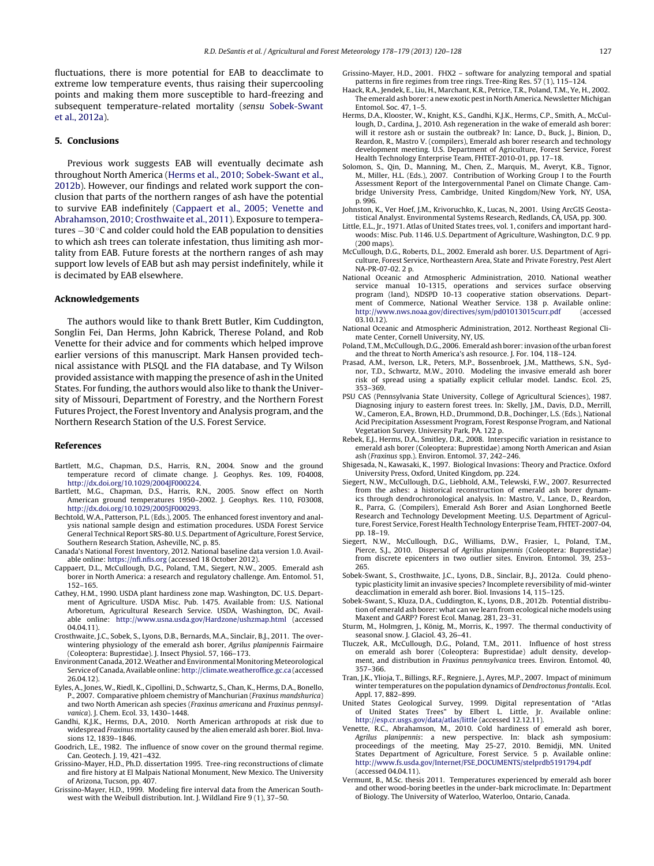<span id="page-7-0"></span>fluctuations, there is more potential for EAB to deacclimate to extreme low temperature events, thus raising their supercooling points and making them more susceptible to hard-freezing and subsequent temperature-related mortality (sensu Sobek-Swant et al., 2012a).

#### **5. Conclusions**

Previous work suggests EAB will eventually decimate ash throughout North America (Herms et al., 2010; Sobek-Swant et al., 2012b). However, our findings and related work support the conclusion that parts of the northern ranges of ash have the potential to survive EAB indefinitely (Cappaert et al., 2005; Venette and Abrahamson, 2010; Crosthwaite et al., 2011). Exposure to temperatures −30 ◦C and colder could hold the EAB population to densities to which ash trees can tolerate infestation, thus limiting ash mortality from EAB. Future forests at the northern ranges of ash may support low levels of EAB but ash may persist indefinitely, while it is decimated by EAB elsewhere.

#### **Acknowledgements**

The authors would like to thank Brett Butler, Kim Cuddington, Songlin Fei, Dan Herms, John Kabrick, Therese Poland, and Rob Venette for their advice and for comments which helped improve earlier versions of this manuscript. Mark Hansen provided technical assistance with PLSQL and the FIA database, and Ty Wilson provided assistance with mapping the presence of ash in the United States. For funding, the authors would also like to thank the University of Missouri, Department of Forestry, and the Northern Forest Futures Project, the Forest Inventory and Analysis program, and the Northern Research Station of the U.S. Forest Service.

#### **References**

- Bartlett, M.G., Chapman, D.S., Harris, R.N., 2004. Snow and the ground temperature record of climate change. J. Geophys. Res. 109, F04008, [http://dx.doi.org/10.1029/2004JF000224](dx.doi.org/10.1029/2004JF000224).
- Bartlett, M.G., Chapman, D.S., Harris, R.N., 2005. Snow effect on North American ground temperatures 1950–2002. J. Geophys. Res. 110, F03008, [http://dx.doi.org/10.1029/2005JF000293](dx.doi.org/10.1029/2005JF000293).
- Bechtold, W.A., Patterson, P.L. (Eds.), 2005. The enhanced forest inventory and analysis national sample design and estimation procedures. USDA Forest Service General Technical Report SRS-80. U.S. Department of Agriculture, Forest Service, Southern Research Station, Asheville, NC, p. 85.
- Canada's National Forest Inventory, 2012. National baseline data version 1.0. Available online: [https://nfi.nfis.org](https://nfi.nfis.org/) (accessed 18 October 2012).
- Cappaert, D.L., McCullough, D.G., Poland, T.M., Siegert, N.W., 2005. Emerald ash borer in North America: a research and regulatory challenge. Am. Entomol. 51, 152–165.
- Cathey, H.M., 1990. USDA plant hardiness zone map. Washington, DC. U.S. Department of Agriculture. USDA Misc. Pub. 1475. Available from: U.S. National Arboretum, Agricultural Research Service. USDA, Washington, DC, Available online: <http://www.usna.usda.gov/Hardzone/ushzmap.html> (accessed 04.04.11).
- Crosthwaite, J.C., Sobek, S., Lyons, D.B., Bernards, M.A., Sinclair, B.J., 2011. The overwintering physiology of the emerald ash borer, Agrilus planipennis Fairmaire (Coleoptera: Buprestidae). J. Insect Physiol. 57, 166–173.
- Environment Canada, 2012.Weather and Environmental Monitoring Meteorological Service of Canada, Available online: [http://climate.weatheroffice.gc.ca](http://climate.weatheroffice.gc.ca/) (accessed 26.04.12).
- Eyles, A., Jones, W., Riedl, K., Cipollini, D., Schwartz, S., Chan, K., Herms, D.A., Bonello, P., 2007. Comparative phloem chemistry of Manchurian (Fraxinus mandshurica) and two North American ash species (Fraxinus americana and Fraxinus pennsylvanica). J. Chem. Ecol. 33, 1430–1448.
- Gandhi, K.J.K., Herms, D.A., 2010. North American arthropods at risk due to widespread Fraxinus mortality caused by the alien emerald ash borer. Biol. Invasions 12, 1839–1846.
- Goodrich, L.E., 1982. The influence of snow cover on the ground thermal regime. Can. Geotech. J. 19, 421–432.
- Grissino-Mayer, H.D., Ph.D. dissertation 1995. Tree-ring reconstructions of climate and fire history at El Malpais National Monument, New Mexico. The University of Arizona, Tucson, pp. 407.
- Grissino-Mayer, H.D., 1999. Modeling fire interval data from the American Southwest with the Weibull distribution. Int. J. Wildland Fire 9 (1), 37–50.
- Grissino-Mayer, H.D., 2001. FHX2 software for analyzing temporal and spatial patterns in fire regimes from tree rings. Tree-Ring Res. 57 (1), 115–124.
- Haack, R.A., Jendek, E., Liu, H., Marchant, K.R., Petrice, T.R., Poland, T.M., Ye, H., 2002. The emerald ash borer: a new exotic pest in North America. Newsletter Michigan Entomol. Soc. 47, 1–5.
- Herms, D.A., Klooster, W., Knight, K.S., Gandhi, K.J.K., Herms, C.P., Smith, A., McCullough, D., Cardina, J., 2010. Ash regeneration in the wake of emerald ash borer: will it restore ash or sustain the outbreak? In: Lance, D., Buck, J., Binion, D., Reardon, R., Mastro V. (compilers), Emerald ash borer research and technology development meeting. U.S. Department of Agriculture, Forest Service, Forest Health Technology Enterprise Team, FHTET-2010-01, pp. 17–18.
- Solomon, S., Qin, D., Manning, M., Chen, Z., Marquis, M., Averyt, K.B., Tignor, M., Miller, H.L. (Eds.), 2007. Contribution of Working Group I to the Fourth Assessment Report of the Intergovernmental Panel on Climate Change. Cambridge University Press, Cambridge, United Kingdom/New York, NY, USA, p. 996.
- Johnston, K., Ver Hoef, J.M., Krivoruchko, K., Lucas, N., 2001. Using ArcGIS Geostatistical Analyst. Environmental Systems Research, Redlands, CA, USA, pp. 300.
- Little, E.L., Jr., 1971. Atlas of United States trees, vol. 1, conifers and important hardwoods: Misc. Pub. 1146. U.S. Department of Agriculture, Washington, D.C. 9 pp. (200 maps).
- McCullough, D.G., Roberts, D.L., 2002. Emerald ash borer. U.S. Department of Agriculture, Forest Service, Northeastern Area, State and Private Forestry, Pest Alert NA-PR-07-02. 2 p.
- National Oceanic and Atmospheric Administration, 2010. National weather service manual 10-1315, operations and services surface observing program (land), NDSPD 10-13 cooperative station observations. Department of Commerce, National Weather Service. 138 p. Available online: <http://www.nws.noaa.gov/directives/sym/pd01013015curr.pdf> (accessed 03.10.12).
- National Oceanic and Atmospheric Administration, 2012. Northeast Regional Climate Center, Cornell University, NY, US.
- Poland, T.M.,McCullough, D.G., 2006. Emerald ash borer: invasion of the urban forest and the threat to North America's ash resource. J. For. 104, 118–124.
- Prasad, A.M., Iverson, L.R., Peters, M.P., Bossenbroek, J.M., Matthews, S.N., Sydnor, T.D., Schwartz, M.W., 2010. Modeling the invasive emerald ash borer risk of spread using a spatially explicit cellular model. Landsc. Ecol. 25, 353–369.
- PSU CAS (Pennsylvania State University, College of Agricultural Sciences), 1987. Diagnosing injury to eastern forest trees. In: Skelly, J.M., Davis, D.D., Merrill, W., Cameron, E.A., Brown, H.D., Drummond, D.B., Dochinger, L.S. (Eds.), National Acid Precipitation Assessment Program, Forest Response Program, and National Vegetation Survey. University Park, PA. 122 p.
- Rebek, E.J., Herms, D.A., Smitley, D.R., 2008. Interspecific variation in resistance to emerald ash borer (Coleoptera: Buprestidae) among North American and Asian ash (Fraxinus spp.). Environ. Entomol. 37, 242–246.
- Shigesada, N., Kawasaki, K., 1997. Biological Invasions: Theory and Practice. Oxford University Press, Oxford, United Kingdom, pp. 224.
- Siegert, N.W., McCullough, D.G., Liebhold, A.M., Telewski, F.W., 2007. Resurrected from the ashes: a historical reconstruction of emerald ash borer dynamics through dendrochronological analysis. In: Mastro, V., Lance, D., Reardon, R., Parra, G. (Compilers), Emerald Ash Borer and Asian Longhorned Beetle Research and Technology Development Meeting. U.S. Department of Agriculture, Forest Service, Forest Health Technology Enterprise Team, FHTET-2007-04, pp. 18–19.
- Siegert, N.W., McCullough, D.G., Williams, D.W., Frasier, I., Poland. T.M., Pierce, S.J., 2010. Dispersal of Agrilus planipennis (Coleoptera: Buprestidae) from discrete epicenters in two outlier sites. Environ. Entomol. 39, 253– 265.
- Sobek-Swant, S., Crosthwaite, J.C., Lyons, D.B., Sinclair, B.J., 2012a. Could phenotypic plasticity limit an invasive species? Incomplete reversibility of mid-winter deacclimation in emerald ash borer. Biol. Invasions 14, 115–125.
- Sobek-Swant, S., Kluza, D.A., Cuddington, K., Lyons, D.B., 2012b. Potential distribution of emerald ash borer: what can we learn from ecological niche models using Maxent and GARP? Forest Ecol. Manag. 281, 23–31.
- Sturm, M., Holmgren, J., König, M., Morris, K., 1997. The thermal conductivity of seasonal snow. J. Glaciol. 43, 26–41.
- Tluczek, A.R., McCullough, D.G., Poland, T.M., 2011. Influence of host stress on emerald ash borer (Coleoptera: Buprestidae) adult density, development, and distribution in Fraxinus pennsylvanica trees. Environ. Entomol. 40, 357–366.
- Tran, J.K., Ylioja, T., Billings, R.F., Regniere, J., Ayres, M.P., 2007. Impact of minimum winter temperatures on the population dynamics of Dendroctonus frontalis. Ecol. Appl. 17, 882–899.
- United States Geological Survey, 1999. Digital representation of "Atlas of United States Trees" by Elbert L. Little, Jr. Available online: <http://esp.cr.usgs.gov/data/atlas/little> (accessed 12.12.11).
- Venette, R.C., Abrahamson, M., 2010. Cold hardiness of emerald ash borer, Agrilus planipennis: a new perspective. In: black ash symposium: proceedings of the meeting, May 25-27, 2010. Bemidji, MN. United States Department of Agriculture, Forest Service. 5 p. Available online: [http://www.fs.usda.gov/Internet/FSE](http://www.fs.usda.gov/Internet/FSE_DOCUMENTS/stelprdb5191794.pdf) DOCUMENTS/stelprdb5191794.pdf (accessed 04.04.11).
- Vermunt, B., M.Sc. thesis 2011. Temperatures experienced by emerald ash borer and other wood-boring beetles in the under-bark microclimate. In: Department of Biology. The University of Waterloo, Waterloo, Ontario, Canada.